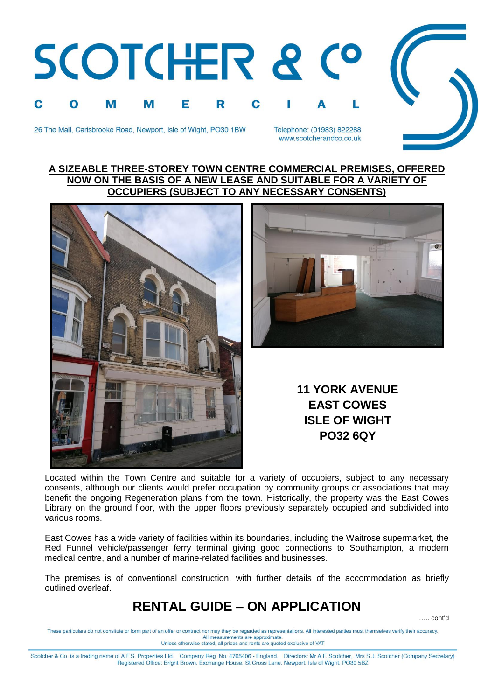



Telephone: (01983) 822288 www.scotcherandco.co.uk

## **A SIZEABLE THREE-STOREY TOWN CENTRE COMMERCIAL PREMISES, OFFERED NOW ON THE BASIS OF A NEW LEASE AND SUITABLE FOR A VARIETY OF OCCUPIERS (SUBJECT TO ANY NECESSARY CONSENTS)**





**11 YORK AVENUE EAST COWES ISLE OF WIGHT PO32 6QY**

Located within the Town Centre and suitable for a variety of occupiers, subject to any necessary consents, although our clients would prefer occupation by community groups or associations that may benefit the ongoing Regeneration plans from the town. Historically, the property was the East Cowes Library on the ground floor, with the upper floors previously separately occupied and subdivided into various rooms.

East Cowes has a wide variety of facilities within its boundaries, including the Waitrose supermarket, the Red Funnel vehicle/passenger ferry terminal giving good connections to Southampton, a modern medical centre, and a number of marine-related facilities and businesses.

The premises is of conventional construction, with further details of the accommodation as briefly outlined overleaf.

## **RENTAL GUIDE – ON APPLICATION**

….. cont'd

These particulars do not consitute or form part of an offer or contract nor may they be regarded as representations. All interested parties must themselves verify their accuracy. All measurements are approximate Unless otherwise stated, all prices and rents are quoted exclusive of VAT

Scotcher & Co. is a trading name of A.F.S. Properties Ltd. Company Reg. No. 4765406 - England. Directors: Mr A.F. Scotcher, Mrs S.J. Scotcher (Company Secretary) Registered Office: Bright Brown, Exchange House, St Cross Lane, Newport, Isle of Wight, PO30 5BZ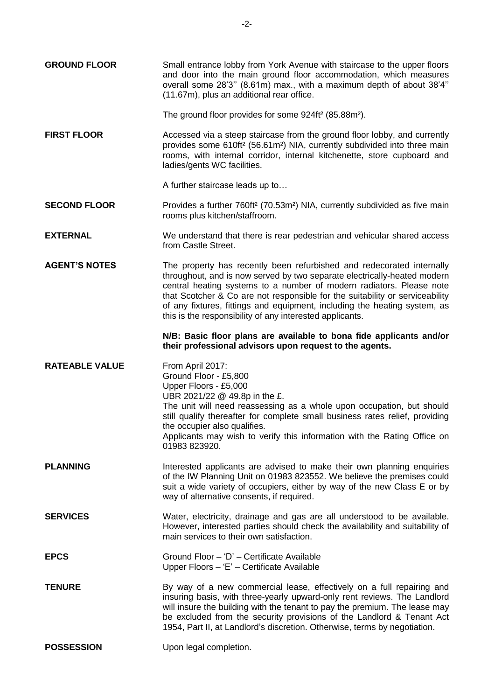**GROUND FLOOR** Small entrance lobby from York Avenue with staircase to the upper floors and door into the main ground floor accommodation, which measures overall some 28'3'' (8.61m) max., with a maximum depth of about 38'4'' (11.67m), plus an additional rear office.

The ground floor provides for some 924ft² (85.88m²).

**FIRST FLOOR** Accessed via a steep staircase from the ground floor lobby, and currently provides some 610ft² (56.61m²) NIA, currently subdivided into three main rooms, with internal corridor, internal kitchenette, store cupboard and ladies/gents WC facilities.

A further staircase leads up to…

- **SECOND FLOOR** Provides a further 760ft<sup>2</sup> (70.53m<sup>2</sup>) NIA, currently subdivided as five main rooms plus kitchen/staffroom.
- **EXTERNAL** We understand that there is rear pedestrian and vehicular shared access from Castle Street.
- **AGENT'S NOTES** The property has recently been refurbished and redecorated internally throughout, and is now served by two separate electrically-heated modern central heating systems to a number of modern radiators. Please note that Scotcher & Co are not responsible for the suitability or serviceability of any fixtures, fittings and equipment, including the heating system, as this is the responsibility of any interested applicants.

## **N/B: Basic floor plans are available to bona fide applicants and/or their professional advisors upon request to the agents.**

- **RATEABLE VALUE** From April 2017: Ground Floor - £5,800 Upper Floors - £5,000 UBR 2021/22 @ 49.8p in the £. The unit will need reassessing as a whole upon occupation, but should still qualify thereafter for complete small business rates relief, providing the occupier also qualifies. Applicants may wish to verify this information with the Rating Office on 01983 823920. **PLANNING** Interested applicants are advised to make their own planning enquiries
- of the IW Planning Unit on 01983 823552. We believe the premises could suit a wide variety of occupiers, either by way of the new Class E or by way of alternative consents, if required.
- **SERVICES** Water, electricity, drainage and gas are all understood to be available. However, interested parties should check the availability and suitability of main services to their own satisfaction.
- **EPCS** Ground Floor 'D' Certificate Available Upper Floors – 'E' – Certificate Available
- **TENURE** By way of a new commercial lease, effectively on a full repairing and insuring basis, with three-yearly upward-only rent reviews. The Landlord will insure the building with the tenant to pay the premium. The lease may be excluded from the security provisions of the Landlord & Tenant Act 1954, Part II, at Landlord's discretion. Otherwise, terms by negotiation.
- **POSSESSION** Upon legal completion.